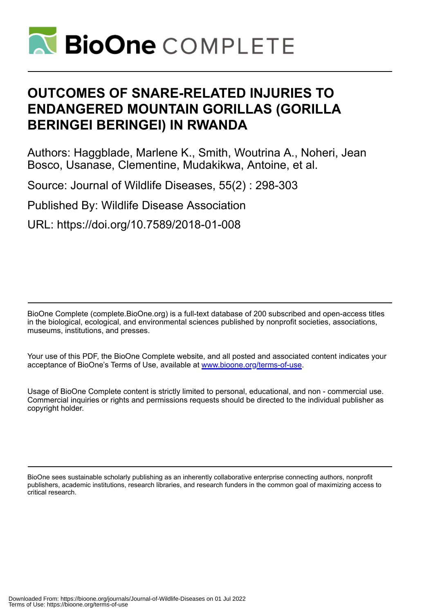

# **OUTCOMES OF SNARE-RELATED INJURIES TO ENDANGERED MOUNTAIN GORILLAS (GORILLA BERINGEI BERINGEI) IN RWANDA**

Authors: Haggblade, Marlene K., Smith, Woutrina A., Noheri, Jean Bosco, Usanase, Clementine, Mudakikwa, Antoine, et al.

Source: Journal of Wildlife Diseases, 55(2) : 298-303

Published By: Wildlife Disease Association

URL: https://doi.org/10.7589/2018-01-008

BioOne Complete (complete.BioOne.org) is a full-text database of 200 subscribed and open-access titles in the biological, ecological, and environmental sciences published by nonprofit societies, associations, museums, institutions, and presses.

Your use of this PDF, the BioOne Complete website, and all posted and associated content indicates your acceptance of BioOne's Terms of Use, available at www.bioone.org/terms-of-use.

Usage of BioOne Complete content is strictly limited to personal, educational, and non - commercial use. Commercial inquiries or rights and permissions requests should be directed to the individual publisher as copyright holder.

BioOne sees sustainable scholarly publishing as an inherently collaborative enterprise connecting authors, nonprofit publishers, academic institutions, research libraries, and research funders in the common goal of maximizing access to critical research.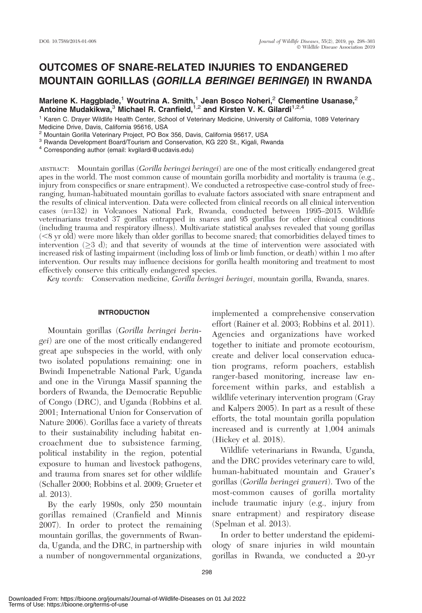# OUTCOMES OF SNARE-RELATED INJURIES TO ENDANGERED MOUNTAIN GORILLAS (GORILLA BERINGEI BERINGEI) IN RWANDA

Marlene K. Haggblade,<sup>1</sup> Woutrina A. Smith,<sup>1</sup> Jean Bosco Noheri,<sup>2</sup> Clementine Usanase,<sup>2</sup> Mariene R. Haggblade, Woddfind R. Shiftiff, Jean Bosco Rolleri, Clement Antoine Mudakikwa,<sup>3</sup> Michael R. Cranfield,<sup>1,2</sup> and Kirsten V. K. Gilardi<sup>1,2,4</sup>

<sup>1</sup> Karen C. Drayer Wildlife Health Center, School of Veterinary Medicine, University of California, 1089 Veterinary Medicine Drive, Davis, California 95616, USA

<sup>2</sup> Mountain Gorilla Veterinary Project, PO Box 356, Davis, California 95617, USA

<sup>3</sup> Rwanda Development Board/Tourism and Conservation, KG 220 St., Kigali, Rwanda

<sup>4</sup> Corresponding author (email: kvgilardi@ucdavis.edu)

ABSTRACT: Mountain gorillas (Gorilla beringei beringei) are one of the most critically endangered great apes in the world. The most common cause of mountain gorilla morbidity and mortality is trauma (e.g., injury from conspecifics or snare entrapment). We conducted a retrospective case-control study of freeranging, human-habituated mountain gorillas to evaluate factors associated with snare entrapment and the results of clinical intervention. Data were collected from clinical records on all clinical intervention cases (n=132) in Volcanoes National Park, Rwanda, conducted between 1995–2015. Wildlife veterinarians treated 37 gorillas entrapped in snares and 95 gorillas for other clinical conditions (including trauma and respiratory illness). Multivariate statistical analyses revealed that young gorillas  $(<$ 8 yr old) were more likely than older gorillas to become snared; that comorbidities delayed times to intervention ( $\geq$ 3 d); and that severity of wounds at the time of intervention were associated with increased risk of lasting impairment (including loss of limb or limb function, or death) within 1 mo after intervention. Our results may influence decisions for gorilla health monitoring and treatment to most effectively conserve this critically endangered species.

Key words: Conservation medicine, Gorilla beringei beringei, mountain gorilla, Rwanda, snares.

#### INTRODUCTION

Mountain gorillas (Gorilla beringei beringei) are one of the most critically endangered great ape subspecies in the world, with only two isolated populations remaining: one in Bwindi Impenetrable National Park, Uganda and one in the Virunga Massif spanning the borders of Rwanda, the Democratic Republic of Congo (DRC), and Uganda (Robbins et al. 2001; International Union for Conservation of Nature 2006). Gorillas face a variety of threats to their sustainability including habitat encroachment due to subsistence farming, political instability in the region, potential exposure to human and livestock pathogens, and trauma from snares set for other wildlife (Schaller 2000; Robbins et al. 2009; Grueter et al. 2013).

By the early 1980s, only 250 mountain gorillas remained (Cranfield and Minnis 2007). In order to protect the remaining mountain gorillas, the governments of Rwanda, Uganda, and the DRC, in partnership with a number of nongovernmental organizations, implemented a comprehensive conservation effort (Rainer et al. 2003; Robbins et al. 2011). Agencies and organizations have worked together to initiate and promote ecotourism, create and deliver local conservation education programs, reform poachers, establish ranger-based monitoring, increase law enforcement within parks, and establish a wildlife veterinary intervention program (Gray and Kalpers 2005). In part as a result of these efforts, the total mountain gorilla population increased and is currently at 1,004 animals (Hickey et al. 2018).

Wildlife veterinarians in Rwanda, Uganda, and the DRC provides veterinary care to wild, human-habituated mountain and Grauer's gorillas (Gorilla beringei graueri). Two of the most-common causes of gorilla mortality include traumatic injury (e.g., injury from snare entrapment) and respiratory disease (Spelman et al. 2013).

In order to better understand the epidemiology of snare injuries in wild mountain gorillas in Rwanda, we conducted a 20-yr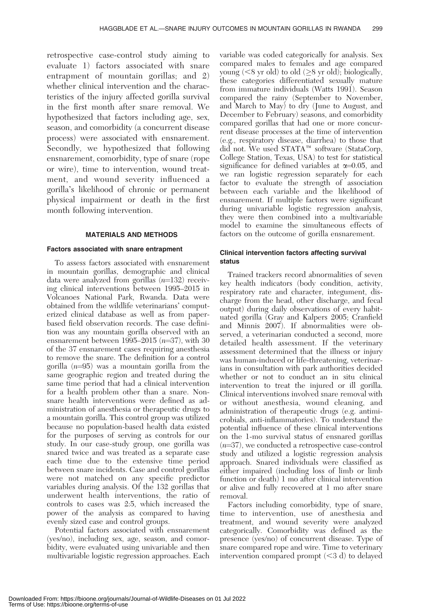retrospective case-control study aiming to evaluate 1) factors associated with snare entrapment of mountain gorillas; and 2) whether clinical intervention and the characteristics of the injury affected gorilla survival in the first month after snare removal. We hypothesized that factors including age, sex, season, and comorbidity (a concurrent disease process) were associated with ensnarement. Secondly, we hypothesized that following ensnarement, comorbidity, type of snare (rope or wire), time to intervention, wound treatment, and wound severity influenced a gorilla's likelihood of chronic or permanent physical impairment or death in the first month following intervention.

# MATERIALS AND METHODS

# Factors associated with snare entrapment

To assess factors associated with ensnarement in mountain gorillas, demographic and clinical data were analyzed from gorillas  $(n=132)$  receiving clinical interventions between 1995–2015 in Volcanoes National Park, Rwanda. Data were obtained from the wildlife veterinarians' computerized clinical database as well as from paperbased field observation records. The case definition was any mountain gorilla observed with an ensnarement between 1995–2015  $(n=37)$ , with 30 of the 37 ensnarement cases requiring anesthesia to remove the snare. The definition for a control gorilla  $(n=95)$  was a mountain gorilla from the same geographic region and treated during the same time period that had a clinical intervention for a health problem other than a snare. Nonsnare health interventions were defined as administration of anesthesia or therapeutic drugs to a mountain gorilla. This control group was utilized because no population-based health data existed for the purposes of serving as controls for our study. In our case-study group, one gorilla was snared twice and was treated as a separate case each time due to the extensive time period between snare incidents. Case and control gorillas were not matched on any specific predictor variables during analysis. Of the 132 gorillas that underwent health interventions, the ratio of controls to cases was 2:5, which increased the power of the analysis as compared to having evenly sized case and control groups.

Potential factors associated with ensnarement (yes/no), including sex, age, season, and comorbidity, were evaluated using univariable and then multivariable logistic regression approaches. Each

variable was coded categorically for analysis. Sex compared males to females and age compared young  $(< 8$  yr old) to old  $(\geq 8$  yr old); biologically, these categories differentiated sexually mature from immature individuals (Watts 1991). Season compared the rainy (September to November, and March to May) to dry (June to August, and December to February) seasons, and comorbidity compared gorillas that had one or more concurrent disease processes at the time of intervention (e.g., respiratory disease, diarrhea) to those that did not. We used STATA<sup>™</sup> software (StataCorp, College Station, Texas, USA) to test for statistical significance for defined variables at  $\alpha$ =0.05, and we ran logistic regression separately for each factor to evaluate the strength of association between each variable and the likelihood of ensnarement. If multiple factors were significant during univariable logistic regression analysis, they were then combined into a multivariable model to examine the simultaneous effects of factors on the outcome of gorilla ensnarement.

# Clinical intervention factors affecting survival status

Trained trackers record abnormalities of seven key health indicators (body condition, activity, respiratory rate and character, integument, discharge from the head, other discharge, and fecal output) during daily observations of every habituated gorilla (Gray and Kalpers 2005; Cranfield and Minnis 2007). If abnormalities were observed, a veterinarian conducted a second, more detailed health assessment. If the veterinary assessment determined that the illness or injury was human-induced or life-threatening, veterinarians in consultation with park authorities decided whether or not to conduct an in situ clinical intervention to treat the injured or ill gorilla. Clinical interventions involved snare removal with or without anesthesia, wound cleaning, and administration of therapeutic drugs (e.g. antimicrobials, anti-inflammatories). To understand the potential influence of these clinical interventions on the 1-mo survival status of ensnared gorillas  $(n=37)$ , we conducted a retrospective case-control study and utilized a logistic regression analysis approach. Snared individuals were classified as either impaired (including loss of limb or limb function or death) 1 mo after clinical intervention or alive and fully recovered at 1 mo after snare removal.

Factors including comorbidity, type of snare, time to intervention, use of anesthesia and treatment, and wound severity were analyzed categorically. Comorbidity was defined as the presence (yes/no) of concurrent disease. Type of snare compared rope and wire. Time to veterinary intervention compared prompt  $( $3 d$ )$  to delayed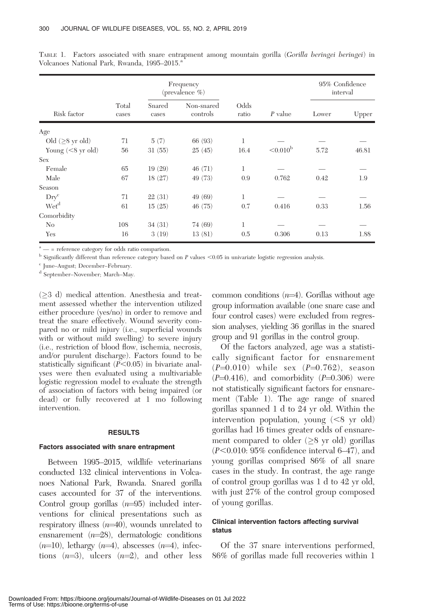| Risk factor                  |                | Frequency<br>(prevalence $\%$ ) |                        |               |                   | 95% Confidence<br>interval |       |
|------------------------------|----------------|---------------------------------|------------------------|---------------|-------------------|----------------------------|-------|
|                              | Total<br>cases | Snared<br>cases                 | Non-snared<br>controls | Odds<br>ratio | $P$ value         | Lower                      | Upper |
| Age                          |                |                                 |                        |               |                   |                            |       |
| Old $(\geq 8$ yr old)        | 71             | 5(7)                            | 66 (93)                | 1             |                   |                            |       |
| Young $(< 8 \text{ yr old})$ | 56             | 31(55)                          | 25(45)                 | 16.4          | $< 0.010^{\rm b}$ | 5.72                       | 46.81 |
| Sex                          |                |                                 |                        |               |                   |                            |       |
| Female                       | 65             | 19(29)                          | 46(71)                 | 1             |                   |                            |       |
| Male                         | 67             | 18(27)                          | 49 (73)                | 0.9           | 0.762             | 0.42                       | 1.9   |
| Season                       |                |                                 |                        |               |                   |                            |       |
| $\text{Dry}^{\text{c}}$      | 71             | 22(31)                          | 49 (69)                | 1             |                   |                            |       |
| Wet <sup>d</sup>             | 61             | 15(25)                          | 46(75)                 | 0.7           | 0.416             | 0.33                       | 1.56  |
| Comorbidity                  |                |                                 |                        |               |                   |                            |       |
| N <sub>0</sub>               | 108            | 34(31)                          | 74 (69)                | 1             |                   |                            |       |
| Yes                          | 16             | 3(19)                           | 13(81)                 | 0.5           | 0.306             | 0.13                       | 1.88  |

TABLE 1. Factors associated with snare entrapment among mountain gorilla (Gorilla beringei beringei) in Volcanoes National Park, Rwanda, 1995–2015.<sup>a</sup>

 $a^*$  — = reference category for odds ratio comparison.

 $b$  Significantly different than reference category based on P values <0.05 in univariate logistic regression analysis.

<sup>c</sup> June–August; December–February.

<sup>d</sup> September–November; March–May.

 $(\geq 3$  d) medical attention. Anesthesia and treatment assessed whether the intervention utilized either procedure (yes/no) in order to remove and treat the snare effectively. Wound severity compared no or mild injury (i.e., superficial wounds with or without mild swelling) to severe injury (i.e., restriction of blood flow, ischemia, necrosis, and/or purulent discharge). Factors found to be statistically significant  $(\overline{P} < 0.05)$  in bivariate analyses were then evaluated using a multivariable logistic regression model to evaluate the strength of association of factors with being impaired (or dead) or fully recovered at 1 mo following intervention.

#### RESULTS

#### Factors associated with snare entrapment

Between 1995–2015, wildlife veterinarians conducted 132 clinical interventions in Volcanoes National Park, Rwanda. Snared gorilla cases accounted for 37 of the interventions. Control group gorillas  $(n=95)$  included interventions for clinical presentations such as respiratory illness  $(n=40)$ , wounds unrelated to ensnarement  $(n=28)$ , dermatologic conditions  $(n=10)$ , lethargy  $(n=4)$ , abscesses  $(n=4)$ , infections  $(n=3)$ , ulcers  $(n=2)$ , and other less common conditions  $(n=4)$ . Gorillas without age group information available (one snare case and four control cases) were excluded from regression analyses, yielding 36 gorillas in the snared group and 91 gorillas in the control group.

Of the factors analyzed, age was a statistically significant factor for ensnarement  $(P=0.010)$  while sex  $(P=0.762)$  , season  $(P=0.416)$ , and comorbidity  $(P=0.306)$  were not statistically significant factors for ensnarement (Table 1). The age range of snared gorillas spanned 1 d to 24 yr old. Within the intervention population, young  $(< 8$  yr old) gorillas had 16 times greater odds of ensnarement compared to older  $(\geq 8$  yr old) gorillas  $(P<0.010: 95\%$  confidence interval 6–47), and young gorillas comprised 86% of all snare cases in the study. In contrast, the age range of control group gorillas was 1 d to 42 yr old, with just 27% of the control group composed of young gorillas.

# Clinical intervention factors affecting survival status

Of the 37 snare interventions performed, 86% of gorillas made full recoveries within 1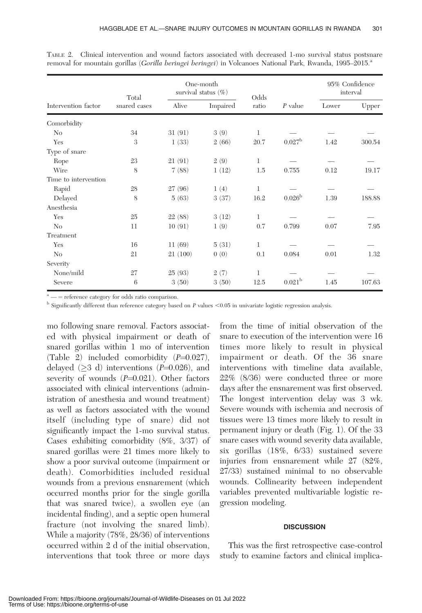| Intervention factor  | Total        | One-month<br>survival status $(\%)$ |          | Odds         |                    | 95% Confidence<br>interval |        |
|----------------------|--------------|-------------------------------------|----------|--------------|--------------------|----------------------------|--------|
|                      | snared cases | Alive                               | Impaired | ratio        | $P$ value          | Lower                      | Upper  |
| Comorbidity          |              |                                     |          |              |                    |                            |        |
| N <sub>0</sub>       | 34           | 31(91)                              | 3(9)     | 1            |                    |                            |        |
| Yes                  | 3            | 1(33)                               | 2(66)    | 20.7         | $0.027^{\rm b}$    | 1.42                       | 300.54 |
| Type of snare        |              |                                     |          |              |                    |                            |        |
| Rope                 | 23           | 21(91)                              | 2(9)     | 1            |                    |                            |        |
| Wire                 | 8            | 7(88)                               | 1(12)    | 1.5          | 0.755              | 0.12                       | 19.17  |
| Time to intervention |              |                                     |          |              |                    |                            |        |
| Rapid                | 28           | 27(96)                              | 1(4)     | 1            |                    |                            |        |
| Delayed              | 8            | 5(63)                               | 3(37)    | 16.2         | 0.026 <sup>b</sup> | 1.39                       | 188.88 |
| Anesthesia           |              |                                     |          |              |                    |                            |        |
| Yes                  | 25           | 22(88)                              | 3(12)    | 1            |                    |                            |        |
| No                   | 11           | 10(91)                              | 1(9)     | 0.7          | 0.799              | 0.07                       | 7.95   |
| Treatment            |              |                                     |          |              |                    |                            |        |
| Yes                  | 16           | 11(69)                              | 5(31)    | $\mathbf{1}$ |                    |                            |        |
| No                   | 21           | 21(100)                             | 0(0)     | 0.1          | 0.084              | 0.01                       | 1.32   |
| Severity             |              |                                     |          |              |                    |                            |        |
| None/mild            | 27           | 25(93)                              | 2(7)     | 1            |                    |                            |        |
| Severe               | 6            | 3(50)                               | 3(50)    | 12.5         | 0.021 <sup>b</sup> | 1.45                       | 107.63 |

TABLE 2. Clinical intervention and wound factors associated with decreased 1-mo survival status postsnare removal for mountain gorillas (Gorilla beringei beringei) in Volcanoes National Park, Rwanda, 1995–2015.<sup>a</sup>

 $a<sup>a</sup>$  — = reference category for odds ratio comparison.

 $<sup>b</sup>$  Significantly different than reference category based on P values <0.05 in univariate logistic regression analysis.</sup>

mo following snare removal. Factors associated with physical impairment or death of snared gorillas within 1 mo of intervention (Table 2) included comorbidity  $(P=0.027)$ , delayed  $(\geq 3$  d) interventions (P=0.026), and severity of wounds  $(P=0.021)$ . Other factors associated with clinical interventions (administration of anesthesia and wound treatment) as well as factors associated with the wound itself (including type of snare) did not significantly impact the 1-mo survival status. Cases exhibiting comorbidity (8%, 3/37) of snared gorillas were 21 times more likely to show a poor survival outcome (impairment or death). Comorbidities included residual wounds from a previous ensnarement (which occurred months prior for the single gorilla that was snared twice), a swollen eye (an incidental finding), and a septic open humeral fracture (not involving the snared limb). While a majority (78%, 28/36) of interventions occurred within 2 d of the initial observation, interventions that took three or more days

from the time of initial observation of the snare to execution of the intervention were 16 times more likely to result in physical impairment or death. Of the 36 snare interventions with timeline data available, 22% (8/36) were conducted three or more days after the ensnarement was first observed. The longest intervention delay was 3 wk. Severe wounds with ischemia and necrosis of tissues were 13 times more likely to result in permanent injury or death (Fig. 1). Of the 33 snare cases with wound severity data available, six gorillas (18%, 6/33) sustained severe injuries from ensnarement while 27 (82%, 27/33) sustained minimal to no observable wounds. Collinearity between independent variables prevented multivariable logistic regression modeling.

# **DISCUSSION**

This was the first retrospective case-control study to examine factors and clinical implica-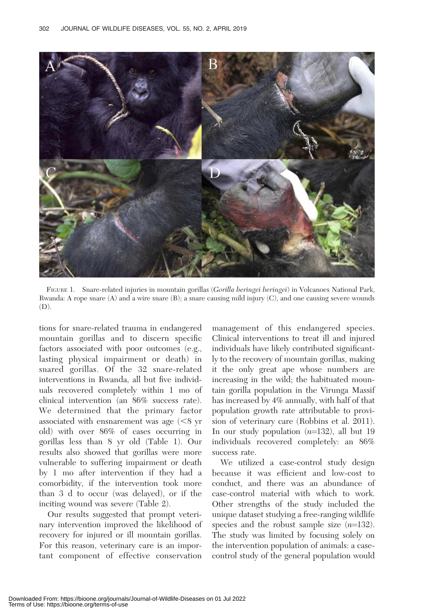

FIGURE 1. Snare-related injuries in mountain gorillas (Gorilla beringei beringei) in Volcanoes National Park, Rwanda: A rope snare (A) and a wire snare (B); a snare causing mild injury (C), and one causing severe wounds  $(D)$ .

tions for snare-related trauma in endangered mountain gorillas and to discern specific factors associated with poor outcomes (e.g., lasting physical impairment or death) in snared gorillas. Of the 32 snare-related interventions in Rwanda, all but five individuals recovered completely within 1 mo of clinical intervention (an 86% success rate). We determined that the primary factor associated with ensnarement was age  $\langle \leq 8 \rangle$ yr old) with over 86% of cases occurring in gorillas less than 8 yr old (Table 1). Our results also showed that gorillas were more vulnerable to suffering impairment or death by 1 mo after intervention if they had a comorbidity, if the intervention took more than 3 d to occur (was delayed), or if the inciting wound was severe (Table 2).

Our results suggested that prompt veterinary intervention improved the likelihood of recovery for injured or ill mountain gorillas. For this reason, veterinary care is an important component of effective conservation

management of this endangered species. Clinical interventions to treat ill and injured individuals have likely contributed significantly to the recovery of mountain gorillas, making it the only great ape whose numbers are increasing in the wild; the habituated mountain gorilla population in the Virunga Massif has increased by 4% annually, with half of that population growth rate attributable to provision of veterinary care (Robbins et al. 2011). In our study population  $(n=132)$ , all but 19 individuals recovered completely: an 86% success rate.

We utilized a case-control study design because it was efficient and low-cost to conduct, and there was an abundance of case-control material with which to work. Other strengths of the study included the unique dataset studying a free-ranging wildlife species and the robust sample size  $(n=132)$ . The study was limited by focusing solely on the intervention population of animals: a casecontrol study of the general population would